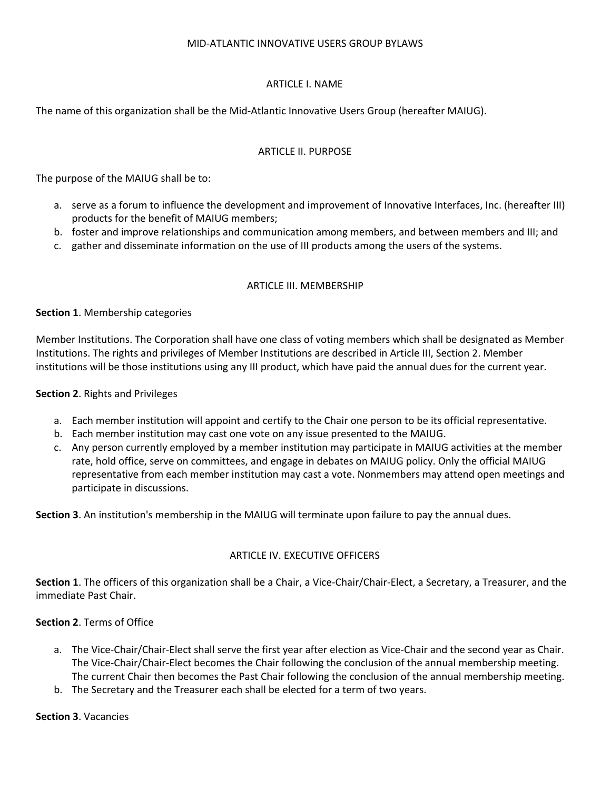## MID-ATLANTIC INNOVATIVE USERS GROUP BYLAWS

## ARTICLE I. NAME

The name of this organization shall be the Mid-Atlantic Innovative Users Group (hereafter MAIUG).

## ARTICLE II. PURPOSE

The purpose of the MAIUG shall be to:

- a. serve as a forum to influence the development and improvement of Innovative Interfaces, Inc. (hereafter III) products for the benefit of MAIUG members;
- b. foster and improve relationships and communication among members, and between members and III; and
- c. gather and disseminate information on the use of III products among the users of the systems.

## ARTICLE III. MEMBERSHIP

## **Section 1**. Membership categories

Member Institutions. The Corporation shall have one class of voting members which shall be designated as Member Institutions. The rights and privileges of Member Institutions are described in Article III, Section 2. Member institutions will be those institutions using any III product, which have paid the annual dues for the current year.

## **Section 2**. Rights and Privileges

- a. Each member institution will appoint and certify to the Chair one person to be its official representative.
- b. Each member institution may cast one vote on any issue presented to the MAIUG.
- c. Any person currently employed by a member institution may participate in MAIUG activities at the member rate, hold office, serve on committees, and engage in debates on MAIUG policy. Only the official MAIUG representative from each member institution may cast a vote. Nonmembers may attend open meetings and participate in discussions.

**Section 3**. An institution's membership in the MAIUG will terminate upon failure to pay the annual dues.

## ARTICLE IV. EXECUTIVE OFFICERS

**Section 1**. The officers of this organization shall be a Chair, a Vice-Chair/Chair-Elect, a Secretary, a Treasurer, and the immediate Past Chair.

## **Section 2**. Terms of Office

- a. The Vice-Chair/Chair-Elect shall serve the first year after election as Vice-Chair and the second year as Chair. The Vice-Chair/Chair-Elect becomes the Chair following the conclusion of the annual membership meeting. The current Chair then becomes the Past Chair following the conclusion of the annual membership meeting.
- b. The Secretary and the Treasurer each shall be elected for a term of two years.

## **Section 3**. Vacancies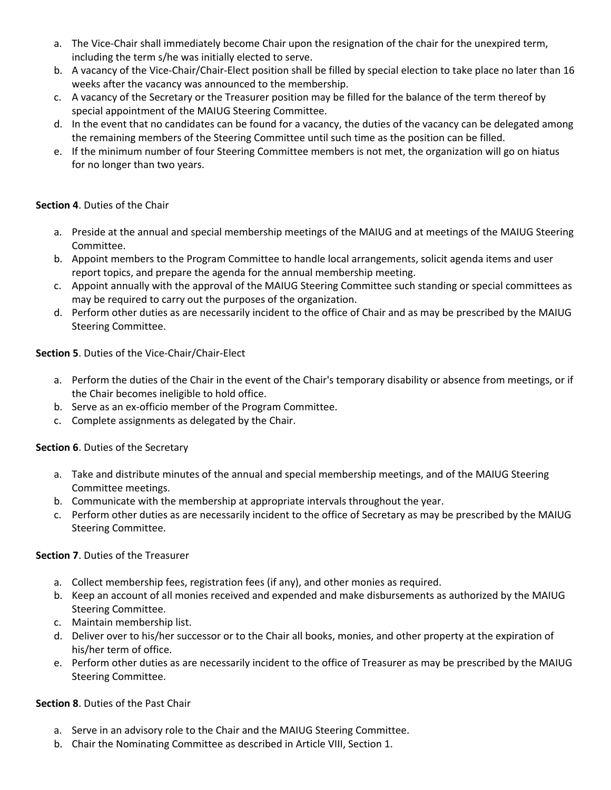- a. The Vice-Chair shall immediately become Chair upon the resignation of the chair for the unexpired term, including the term s/he was initially elected to serve.
- b. A vacancy of the Vice-Chair/Chair-Elect position shall be filled by special election to take place no later than 16 weeks after the vacancy was announced to the membership.
- c. A vacancy of the Secretary or the Treasurer position may be filled for the balance of the term thereof by special appointment of the MAIUG Steering Committee.
- d. In the event that no candidates can be found for a vacancy, the duties of the vacancy can be delegated among the remaining members of the Steering Committee until such time as the position can be filled.
- e. If the minimum number of four Steering Committee members is not met, the organization will go on hiatus for no longer than two years.

# **Section 4**. Duties of the Chair

- a. Preside at the annual and special membership meetings of the MAIUG and at meetings of the MAIUG Steering Committee.
- b. Appoint members to the Program Committee to handle local arrangements, solicit agenda items and user report topics, and prepare the agenda for the annual membership meeting.
- c. Appoint annually with the approval of the MAIUG Steering Committee such standing or special committees as may be required to carry out the purposes of the organization.
- d. Perform other duties as are necessarily incident to the office of Chair and as may be prescribed by the MAIUG Steering Committee.

# **Section 5**. Duties of the Vice-Chair/Chair-Elect

- a. Perform the duties of the Chair in the event of the Chair's temporary disability or absence from meetings, or if the Chair becomes ineligible to hold office.
- b. Serve as an ex-officio member of the Program Committee.
- c. Complete assignments as delegated by the Chair.

## **Section 6**. Duties of the Secretary

- a. Take and distribute minutes of the annual and special membership meetings, and of the MAIUG Steering Committee meetings.
- b. Communicate with the membership at appropriate intervals throughout the year.
- c. Perform other duties as are necessarily incident to the office of Secretary as may be prescribed by the MAIUG Steering Committee.

## **Section 7**. Duties of the Treasurer

- a. Collect membership fees, registration fees (if any), and other monies as required.
- b. Keep an account of all monies received and expended and make disbursements as authorized by the MAIUG Steering Committee.
- c. Maintain membership list.
- d. Deliver over to his/her successor or to the Chair all books, monies, and other property at the expiration of his/her term of office.
- e. Perform other duties as are necessarily incident to the office of Treasurer as may be prescribed by the MAIUG Steering Committee.

## **Section 8**. Duties of the Past Chair

- a. Serve in an advisory role to the Chair and the MAIUG Steering Committee.
- b. Chair the Nominating Committee as described in Article VIII, Section 1.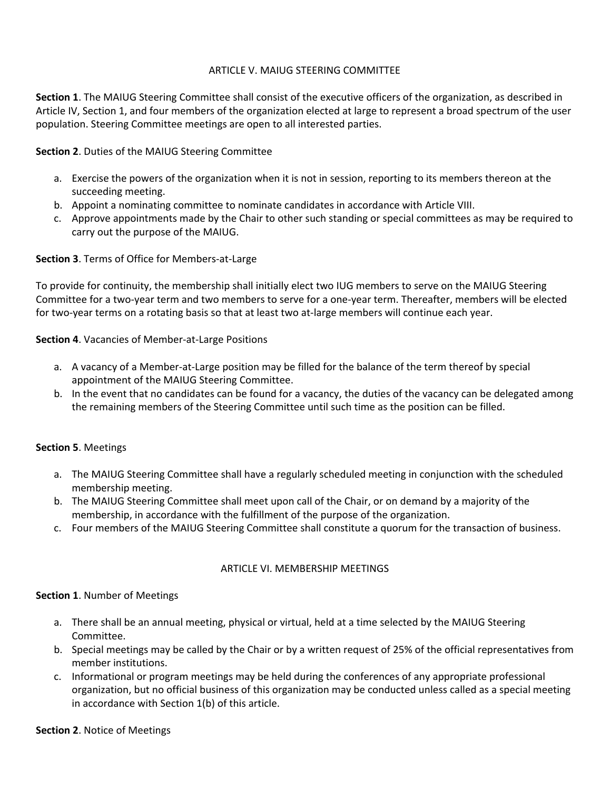## ARTICLE V. MAIUG STEERING COMMITTEE

**Section 1**. The MAIUG Steering Committee shall consist of the executive officers of the organization, as described in Article IV, Section 1, and four members of the organization elected at large to represent a broad spectrum of the user population. Steering Committee meetings are open to all interested parties.

**Section 2**. Duties of the MAIUG Steering Committee

- a. Exercise the powers of the organization when it is not in session, reporting to its members thereon at the succeeding meeting.
- b. Appoint a nominating committee to nominate candidates in accordance with Article VIII.
- c. Approve appointments made by the Chair to other such standing or special committees as may be required to carry out the purpose of the MAIUG.

**Section 3**. Terms of Office for Members-at-Large

To provide for continuity, the membership shall initially elect two IUG members to serve on the MAIUG Steering Committee for a two-year term and two members to serve for a one-year term. Thereafter, members will be elected for two-year terms on a rotating basis so that at least two at-large members will continue each year.

**Section 4**. Vacancies of Member-at-Large Positions

- a. A vacancy of a Member-at-Large position may be filled for the balance of the term thereof by special appointment of the MAIUG Steering Committee.
- b. In the event that no candidates can be found for a vacancy, the duties of the vacancy can be delegated among the remaining members of the Steering Committee until such time as the position can be filled.

## **Section 5**. Meetings

- a. The MAIUG Steering Committee shall have a regularly scheduled meeting in conjunction with the scheduled membership meeting.
- b. The MAIUG Steering Committee shall meet upon call of the Chair, or on demand by a majority of the membership, in accordance with the fulfillment of the purpose of the organization.
- c. Four members of the MAIUG Steering Committee shall constitute a quorum for the transaction of business.

## ARTICLE VI. MEMBERSHIP MEETINGS

#### **Section 1**. Number of Meetings

- a. There shall be an annual meeting, physical or virtual, held at a time selected by the MAIUG Steering Committee.
- b. Special meetings may be called by the Chair or by a written request of 25% of the official representatives from member institutions.
- c. Informational or program meetings may be held during the conferences of any appropriate professional organization, but no official business of this organization may be conducted unless called as a special meeting in accordance with Section 1(b) of this article.

#### **Section 2**. Notice of Meetings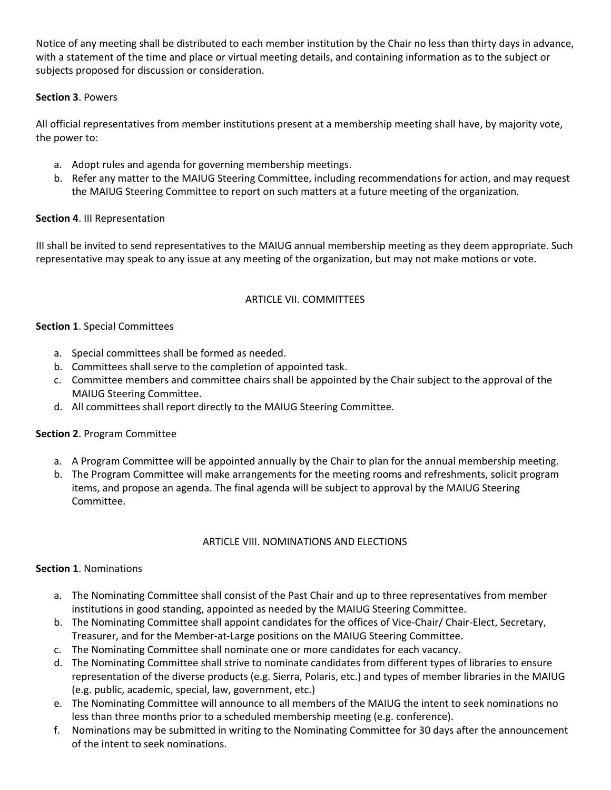Notice of any meeting shall be distributed to each member institution by the Chair no less than thirty days in advance, with a statement of the time and place or virtual meeting details, and containing information as to the subject or subjects proposed for discussion or consideration.

# **Section 3**. Powers

All official representatives from member institutions present at a membership meeting shall have, by majority vote, the power to:

- a. Adopt rules and agenda for governing membership meetings.
- b. Refer any matter to the MAIUG Steering Committee, including recommendations for action, and may request the MAIUG Steering Committee to report on such matters at a future meeting of the organization.

# **Section 4**. III Representation

III shall be invited to send representatives to the MAIUG annual membership meeting as they deem appropriate. Such representative may speak to any issue at any meeting of the organization, but may not make motions or vote.

# ARTICLE VII. COMMITTEES

## **Section 1**. Special Committees

- a. Special committees shall be formed as needed.
- b. Committees shall serve to the completion of appointed task.
- c. Committee members and committee chairs shall be appointed by the Chair subject to the approval of the MAIUG Steering Committee.
- d. All committees shall report directly to the MAIUG Steering Committee.

## **Section 2**. Program Committee

- a. A Program Committee will be appointed annually by the Chair to plan for the annual membership meeting.
- b. The Program Committee will make arrangements for the meeting rooms and refreshments, solicit program items, and propose an agenda. The final agenda will be subject to approval by the MAIUG Steering Committee.

## ARTICLE VIII. NOMINATIONS AND ELECTIONS

## **Section 1**. Nominations

- a. The Nominating Committee shall consist of the Past Chair and up to three representatives from member institutions in good standing, appointed as needed by the MAIUG Steering Committee.
- b. The Nominating Committee shall appoint candidates for the offices of Vice-Chair/ Chair-Elect, Secretary, Treasurer, and for the Member-at-Large positions on the MAIUG Steering Committee.
- c. The Nominating Committee shall nominate one or more candidates for each vacancy.
- d. The Nominating Committee shall strive to nominate candidates from different types of libraries to ensure representation of the diverse products (e.g. Sierra, Polaris, etc.) and types of member libraries in the MAIUG (e.g. public, academic, special, law, government, etc.)
- e. The Nominating Committee will announce to all members of the MAIUG the intent to seek nominations no less than three months prior to a scheduled membership meeting (e.g. conference).
- f. Nominations may be submitted in writing to the Nominating Committee for 30 days after the announcement of the intent to seek nominations.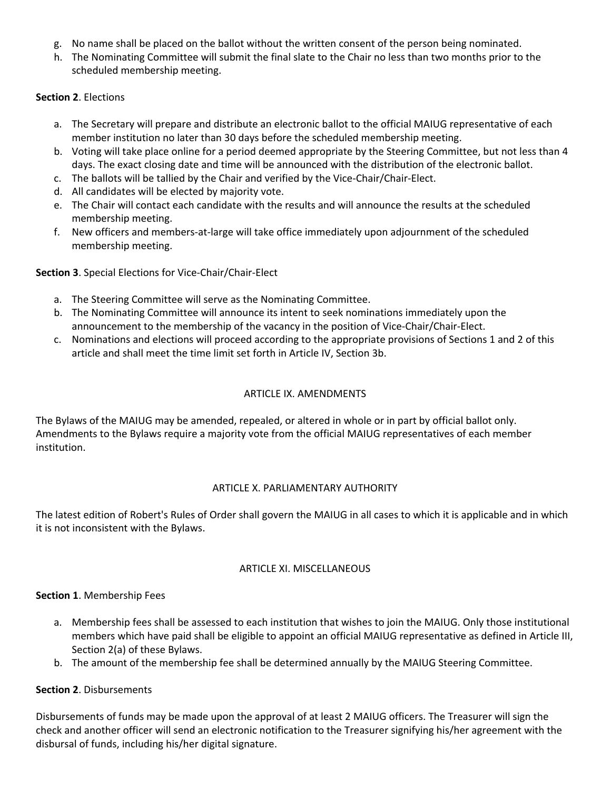- g. No name shall be placed on the ballot without the written consent of the person being nominated.
- h. The Nominating Committee will submit the final slate to the Chair no less than two months prior to the scheduled membership meeting.

## **Section 2**. Elections

- a. The Secretary will prepare and distribute an electronic ballot to the official MAIUG representative of each member institution no later than 30 days before the scheduled membership meeting.
- b. Voting will take place online for a period deemed appropriate by the Steering Committee, but not less than 4 days. The exact closing date and time will be announced with the distribution of the electronic ballot.
- c. The ballots will be tallied by the Chair and verified by the Vice-Chair/Chair-Elect.
- d. All candidates will be elected by majority vote.
- e. The Chair will contact each candidate with the results and will announce the results at the scheduled membership meeting.
- f. New officers and members-at-large will take office immediately upon adjournment of the scheduled membership meeting.

## **Section 3**. Special Elections for Vice-Chair/Chair-Elect

- a. The Steering Committee will serve as the Nominating Committee.
- b. The Nominating Committee will announce its intent to seek nominations immediately upon the announcement to the membership of the vacancy in the position of Vice-Chair/Chair-Elect.
- c. Nominations and elections will proceed according to the appropriate provisions of Sections 1 and 2 of this article and shall meet the time limit set forth in Article IV, Section 3b.

## ARTICLE IX. AMENDMENTS

The Bylaws of the MAIUG may be amended, repealed, or altered in whole or in part by official ballot only. Amendments to the Bylaws require a majority vote from the official MAIUG representatives of each member institution.

## ARTICLE X. PARLIAMENTARY AUTHORITY

The latest edition of Robert's Rules of Order shall govern the MAIUG in all cases to which it is applicable and in which it is not inconsistent with the Bylaws.

## ARTICLE XI. MISCELLANEOUS

## **Section 1**. Membership Fees

- a. Membership fees shall be assessed to each institution that wishes to join the MAIUG. Only those institutional members which have paid shall be eligible to appoint an official MAIUG representative as defined in Article III, Section 2(a) of these Bylaws.
- b. The amount of the membership fee shall be determined annually by the MAIUG Steering Committee.

## **Section 2**. Disbursements

Disbursements of funds may be made upon the approval of at least 2 MAIUG officers. The Treasurer will sign the check and another officer will send an electronic notification to the Treasurer signifying his/her agreement with the disbursal of funds, including his/her digital signature.